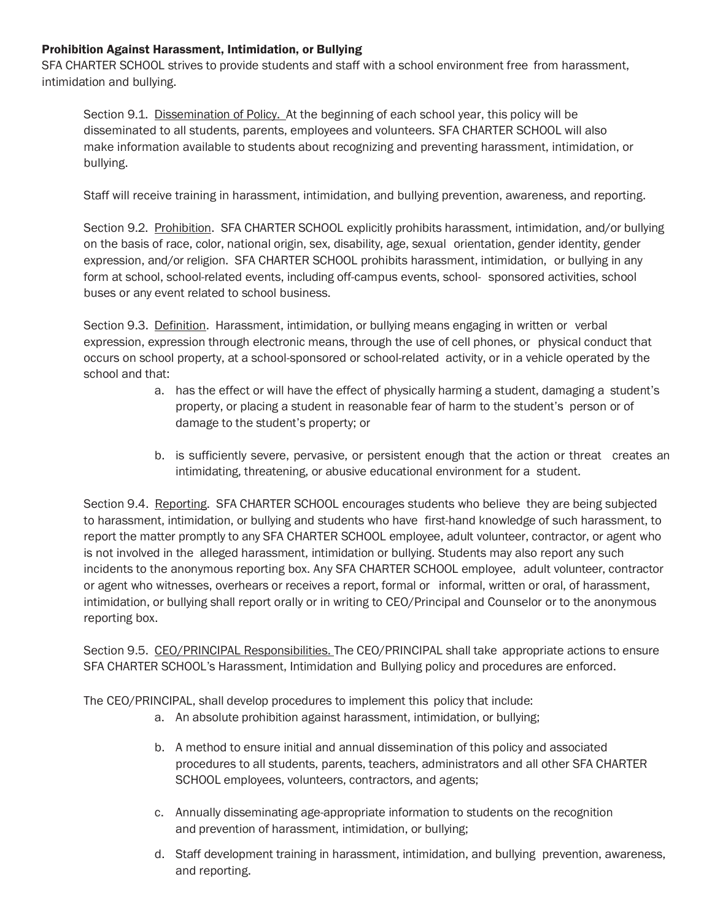## Prohibition Against Harassment, Intimidation, or Bullying

SFA CHARTER SCHOOL strives to provide students and staff with a school environment free from harassment, intimidation and bullying.

Section 9.1. Dissemination of Policy. At the beginning of each school year, this policy will be disseminated to all students, parents, employees and volunteers. SFA CHARTER SCHOOL will also make information available to students about recognizing and preventing harassment, intimidation, or bullying.

Staff will receive training in harassment, intimidation, and bullying prevention, awareness, and reporting.

Section 9.2. Prohibition. SFA CHARTER SCHOOL explicitly prohibits harassment, intimidation, and/or bullying on the basis of race, color, national origin, sex, disability, age, sexual orientation, gender identity, gender expression, and/or religion. SFA CHARTER SCHOOL prohibits harassment, intimidation, or bullying in any form at school, school-related events, including off-campus events, school- sponsored activities, school buses or any event related to school business.

Section 9.3. Definition. Harassment, intimidation, or bullying means engaging in written or verbal expression, expression through electronic means, through the use of cell phones, or physical conduct that occurs on school property, at a school-sponsored or school-related activity, or in a vehicle operated by the school and that:

- a. has the effect or will have the effect of physically harming a student, damaging a student's property, or placing a student in reasonable fear of harm to the student's person or of damage to the student's property; or
- b. is sufficiently severe, pervasive, or persistent enough that the action or threat creates an intimidating, threatening, or abusive educational environment for a student.

Section 9.4. Reporting. SFA CHARTER SCHOOL encourages students who believe they are being subjected to harassment, intimidation, or bullying and students who have first-hand knowledge of such harassment, to report the matter promptly to any SFA CHARTER SCHOOL employee, adult volunteer, contractor, or agent who is not involved in the alleged harassment, intimidation or bullying. Students may also report any such incidents to the anonymous reporting box. Any SFA CHARTER SCHOOL employee, adult volunteer, contractor or agent who witnesses, overhears or receives a report, formal or informal, written or oral, of harassment, intimidation, or bullying shall report orally or in writing to CEO/Principal and Counselor or to the anonymous reporting box.

Section 9.5. CEO/PRINCIPAL Responsibilities. The CEO/PRINCIPAL shall take appropriate actions to ensure SFA CHARTER SCHOOL's Harassment, Intimidation and Bullying policy and procedures are enforced.

The CEO/PRINCIPAL, shall develop procedures to implement this policy that include:

- a. An absolute prohibition against harassment, intimidation, or bullying;
- b. A method to ensure initial and annual dissemination of this policy and associated procedures to all students, parents, teachers, administrators and all other SFA CHARTER SCHOOL employees, volunteers, contractors, and agents;
- c. Annually disseminating age-appropriate information to students on the recognition and prevention of harassment, intimidation, or bullying;
- d. Staff development training in harassment, intimidation, and bullying prevention, awareness, and reporting.